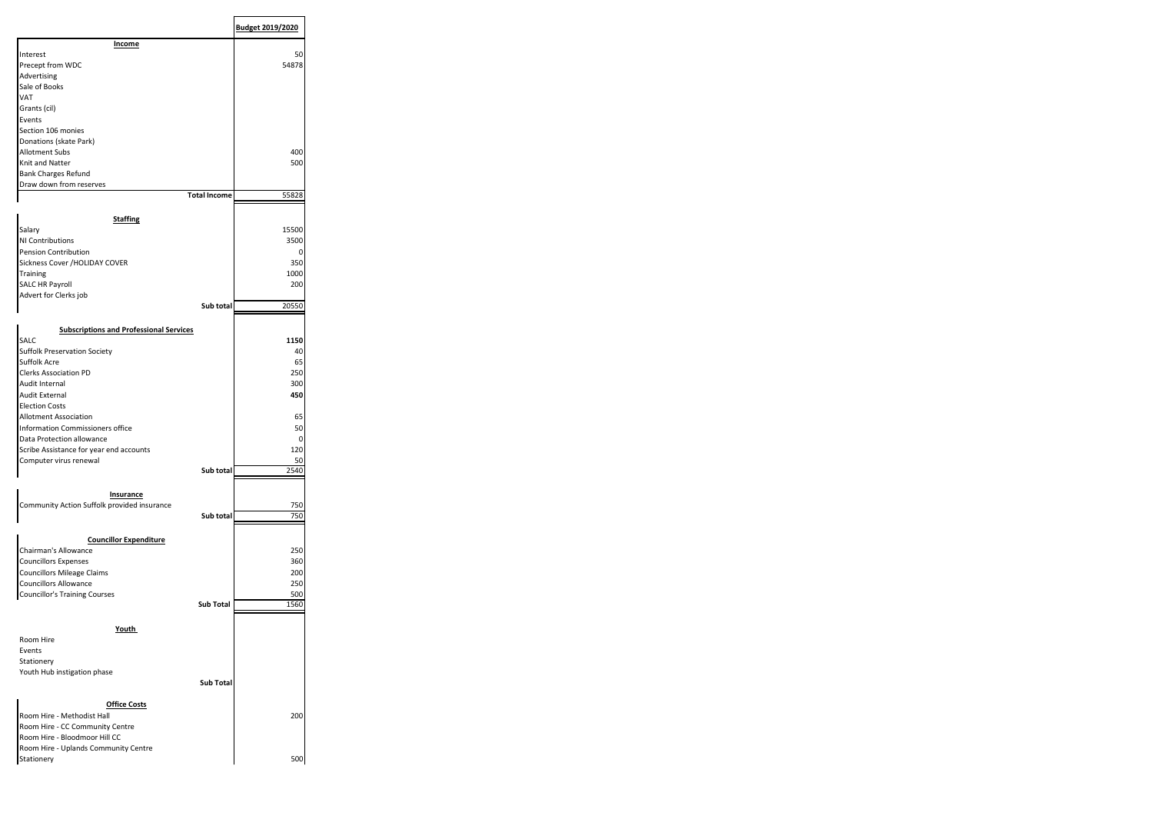|                                                                  |                     | Budget 2019/2020 |
|------------------------------------------------------------------|---------------------|------------------|
| Income                                                           |                     |                  |
| Interest                                                         |                     | 50               |
| Precept from WDC                                                 |                     | 54878            |
| Advertising                                                      |                     |                  |
| Sale of Books                                                    |                     |                  |
| VAT                                                              |                     |                  |
| Grants (cil)                                                     |                     |                  |
| Events                                                           |                     |                  |
| Section 106 monies                                               |                     |                  |
| Donations (skate Park)                                           |                     |                  |
| Allotment Subs                                                   |                     | 400              |
| Knit and Natter                                                  |                     | 500              |
| <b>Bank Charges Refund</b>                                       |                     |                  |
| Draw down from reserves                                          |                     |                  |
|                                                                  | <b>Total Income</b> | 55828            |
| <b>Staffing</b>                                                  |                     |                  |
| Salary                                                           |                     | 15500            |
| NI Contributions                                                 |                     |                  |
| Pension Contribution                                             |                     | 3500<br>0        |
|                                                                  |                     | 350              |
| Sickness Cover / HOLIDAY COVER                                   |                     |                  |
| Training                                                         |                     | 1000             |
| SALC HR Payroll                                                  |                     | 200              |
| Advert for Clerks job                                            | Sub total           |                  |
|                                                                  |                     | 20550            |
| <b>Subscriptions and Professional Services</b>                   |                     |                  |
| SALC                                                             |                     | 1150             |
| <b>Suffolk Preservation Society</b>                              |                     | 40               |
| Suffolk Acre                                                     |                     | 65               |
| <b>Clerks Association PD</b>                                     |                     | 250              |
| Audit Internal                                                   |                     | 300              |
| Audit External                                                   |                     |                  |
|                                                                  |                     | 450              |
| <b>Election Costs</b>                                            |                     |                  |
| Allotment Association                                            |                     | 65               |
| Information Commissioners office                                 |                     | 50               |
| Data Protection allowance                                        |                     | 0                |
| Scribe Assistance for year end accounts                          |                     | 120              |
| Computer virus renewal                                           |                     | 50               |
|                                                                  | Sub total           | 2540             |
|                                                                  |                     |                  |
| Insurance                                                        |                     |                  |
| Community Action Suffolk provided insurance                      |                     | 750              |
|                                                                  | Sub total           | 750              |
|                                                                  |                     |                  |
| <b>Councillor Expenditure</b>                                    |                     |                  |
| Chairman's Allowance                                             |                     | 250              |
| <b>Councillors Expenses</b>                                      |                     | 360              |
| <b>Councillors Mileage Claims</b>                                |                     | 200              |
| <b>Councillors Allowance</b>                                     |                     | 250              |
| <b>Councillor's Training Courses</b>                             |                     | 500              |
|                                                                  | Sub Total           | 1560             |
|                                                                  |                     |                  |
| Youth                                                            |                     |                  |
|                                                                  |                     |                  |
|                                                                  |                     |                  |
|                                                                  |                     |                  |
|                                                                  |                     |                  |
|                                                                  |                     |                  |
| Room Hire<br>Events<br>Stationery<br>Youth Hub instigation phase | Sub Total           |                  |
|                                                                  |                     |                  |
| <b>Office Costs</b>                                              |                     |                  |
| Room Hire - Methodist Hall                                       |                     | 200              |
| Room Hire - CC Community Centre                                  |                     |                  |
| Room Hire - Bloodmoor Hill CC                                    |                     |                  |
| Room Hire - Uplands Community Centre<br>Stationery               |                     | 500              |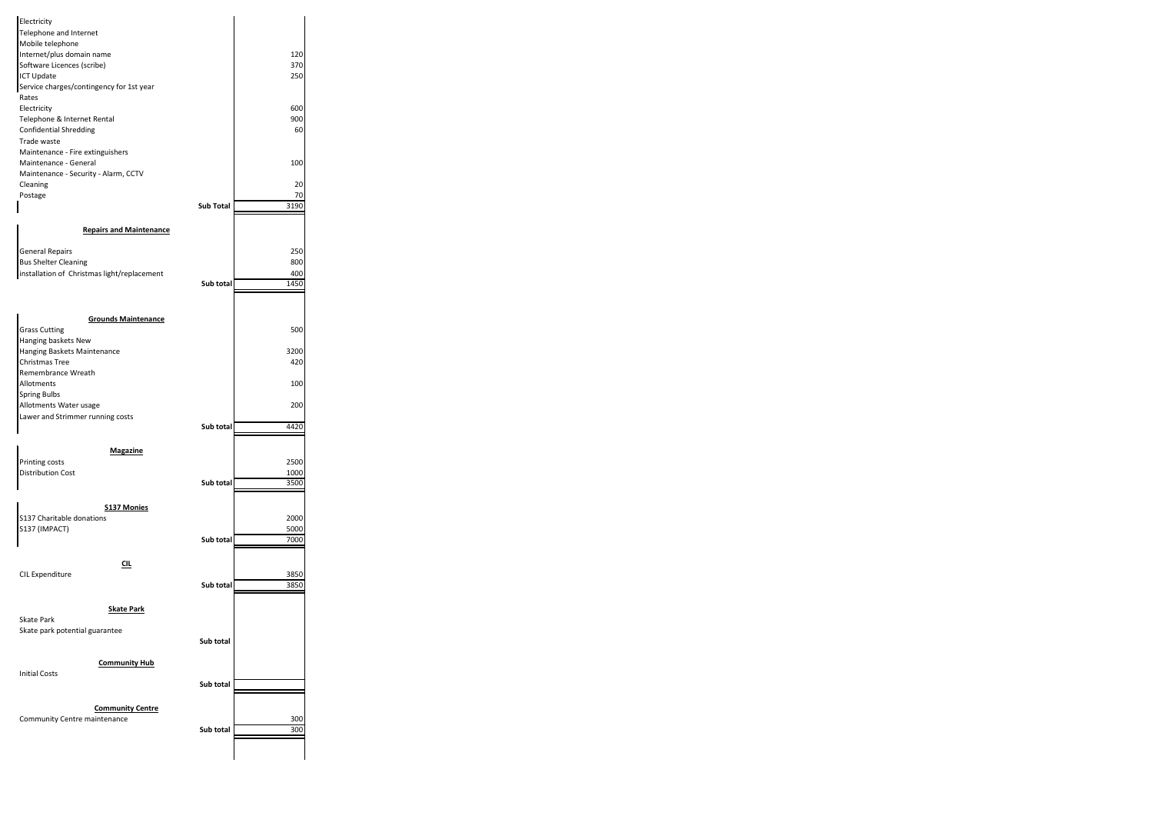| Electricity<br>Telephone and Internet<br>Mobile telephone<br>Internet/plus domain name<br>Software Licences (scribe)<br><b>ICT Update</b><br>Service charges/contingency for 1st year<br>Rates<br>Electricity<br>Telephone & Internet Rental<br><b>Confidential Shredding</b> |                  | 120<br>370<br>250<br>600<br>900<br>60 |
|-------------------------------------------------------------------------------------------------------------------------------------------------------------------------------------------------------------------------------------------------------------------------------|------------------|---------------------------------------|
| Trade waste<br>Maintenance - Fire extinguishers                                                                                                                                                                                                                               |                  |                                       |
| Maintenance - General                                                                                                                                                                                                                                                         |                  | 100                                   |
| Maintenance - Security - Alarm, CCTV<br>Cleaning                                                                                                                                                                                                                              |                  | 20                                    |
| Postage                                                                                                                                                                                                                                                                       |                  | 70                                    |
|                                                                                                                                                                                                                                                                               | <b>Sub Total</b> | 3190                                  |
| <b>Repairs and Maintenance</b>                                                                                                                                                                                                                                                |                  |                                       |
|                                                                                                                                                                                                                                                                               |                  | 250                                   |
| <b>General Repairs</b><br><b>Bus Shelter Cleaning</b>                                                                                                                                                                                                                         |                  | 800                                   |
| installation of Christmas light/replacement                                                                                                                                                                                                                                   |                  | 400                                   |
|                                                                                                                                                                                                                                                                               | Sub total        | 1450                                  |
|                                                                                                                                                                                                                                                                               |                  |                                       |
| <b>Grounds Maintenance</b><br><b>Grass Cutting</b>                                                                                                                                                                                                                            |                  | 500                                   |
| Hanging baskets New                                                                                                                                                                                                                                                           |                  |                                       |
| Hanging Baskets Maintenance                                                                                                                                                                                                                                                   |                  | 3200                                  |
| Christmas Tree                                                                                                                                                                                                                                                                |                  | 420                                   |
| Remembrance Wreath<br>Allotments                                                                                                                                                                                                                                              |                  | 100                                   |
| <b>Spring Bulbs</b>                                                                                                                                                                                                                                                           |                  |                                       |
| Allotments Water usage                                                                                                                                                                                                                                                        |                  | 200                                   |
| Lawer and Strimmer running costs                                                                                                                                                                                                                                              | Sub total        | 4420                                  |
|                                                                                                                                                                                                                                                                               |                  |                                       |
| <b>Magazine</b>                                                                                                                                                                                                                                                               |                  |                                       |
| Printing costs<br><b>Distribution Cost</b>                                                                                                                                                                                                                                    |                  | 2500                                  |
|                                                                                                                                                                                                                                                                               | Sub total        | 1000<br>3500                          |
|                                                                                                                                                                                                                                                                               |                  |                                       |
| <b>S137 Monies</b>                                                                                                                                                                                                                                                            |                  |                                       |
| S137 Charitable donations<br>S137 (IMPACT)                                                                                                                                                                                                                                    |                  | 2000<br>5000                          |
|                                                                                                                                                                                                                                                                               | Sub total        | 7000                                  |
|                                                                                                                                                                                                                                                                               |                  |                                       |
| <u>CIL</u><br><b>CIL Expenditure</b>                                                                                                                                                                                                                                          |                  | 3850                                  |
|                                                                                                                                                                                                                                                                               | Sub total        | 3850                                  |
|                                                                                                                                                                                                                                                                               |                  |                                       |
| <b>Skate Park</b><br><b>Skate Park</b>                                                                                                                                                                                                                                        |                  |                                       |
| Skate park potential guarantee                                                                                                                                                                                                                                                |                  |                                       |
|                                                                                                                                                                                                                                                                               | Sub total        |                                       |
|                                                                                                                                                                                                                                                                               |                  |                                       |
| <b>Community Hub</b><br><b>Initial Costs</b>                                                                                                                                                                                                                                  |                  |                                       |
|                                                                                                                                                                                                                                                                               | Sub total        |                                       |
|                                                                                                                                                                                                                                                                               |                  |                                       |
| <b>Community Centre</b><br>Community Centre maintenance                                                                                                                                                                                                                       |                  | 300                                   |
|                                                                                                                                                                                                                                                                               | Sub total        | 300                                   |
|                                                                                                                                                                                                                                                                               |                  |                                       |
|                                                                                                                                                                                                                                                                               |                  |                                       |